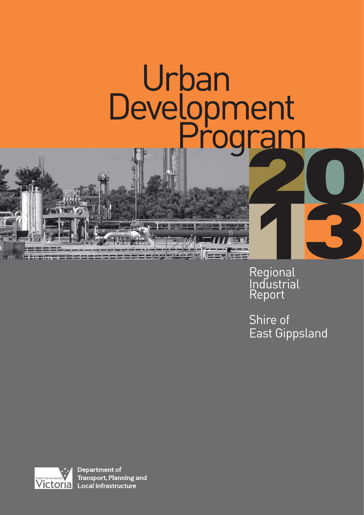# Urban Development

25 25 25 25 25

Regional **Industrial** Report

Shire of East Gippsland



Department of Transport, Planning and state Government Transport, Planning and Transport, Planning and Transport, Planning and Transport, Planning a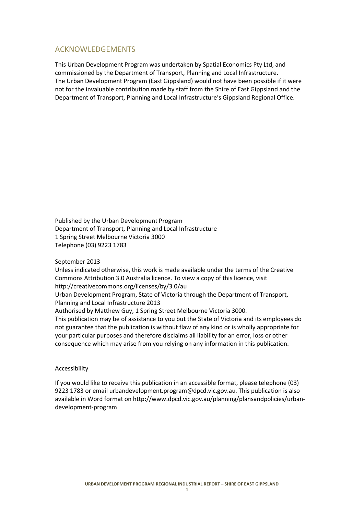# ACKNOWLEDGEMENTS

This Urban Development Program was undertaken by Spatial Economics Pty Ltd, and commissioned by the Department of Transport, Planning and Local Infrastructure. The Urban Development Program (East Gippsland) would not have been possible if it were not for the invaluable contribution made by staff from the Shire of East Gippsland and the Department of Transport, Planning and Local Infrastructure's Gippsland Regional Office.

Published by the Urban Development Program Department of Transport, Planning and Local Infrastructure 1 Spring Street Melbourne Victoria 3000 Telephone (03) 9223 1783

#### September 2013

Unless indicated otherwise, this work is made available under the terms of the Creative Commons Attribution 3.0 Australia licence. To view a copy of this licence, visit http://creativecommons.org/licenses/by/3.0/au Urban Development Program, State of Victoria through the Department of Transport, Planning and Local Infrastructure 2013 Authorised by Matthew Guy, 1 Spring Street Melbourne Victoria 3000. This publication may be of assistance to you but the State of Victoria and its employees do not guarantee that the publication is without flaw of any kind or is wholly appropriate for your particular purposes and therefore disclaims all liability for an error, loss or other

consequence which may arise from you relying on any information in this publication.

#### Accessibility

If you would like to receive this publication in an accessible format, please telephone (03) 9223 1783 or email urbandevelopment.program@dpcd.vic.gov.au. This publication is also available in Word format on http://www.dpcd.vic.gov.au/planning/plansandpolicies/urbandevelopment-program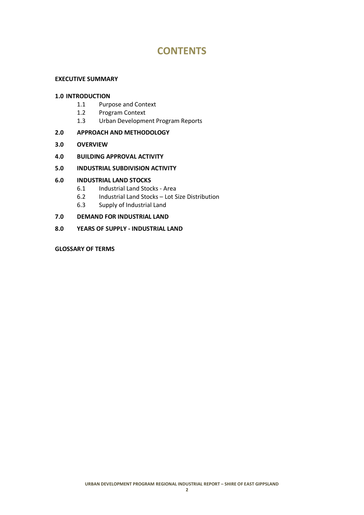# **CONTENTS**

## **EXECUTIVE SUMMARY**

## **1.0 INTRODUCTION**

- 1.1 Purpose and Context
- 1.2 Program Context
- 1.3 Urban Development Program Reports

## **2.0 APPROACH AND METHODOLOGY**

- **3.0 OVERVIEW**
- **4.0 BUILDING APPROVAL ACTIVITY**

## **5.0 INDUSTRIAL SUBDIVISION ACTIVITY**

## **6.0 INDUSTRIAL LAND STOCKS**

- 6.1 Industrial Land Stocks Area
- 6.2 Industrial Land Stocks Lot Size Distribution
- 6.3 Supply of Industrial Land

# **7.0 DEMAND FOR INDUSTRIAL LAND**

**8.0 YEARS OF SUPPLY - INDUSTRIAL LAND**

## **GLOSSARY OF TERMS**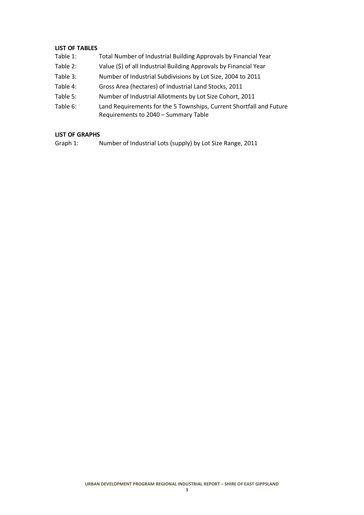# **LIST OF TABLES**

- Table 1: Total Number of Industrial Building Approvals by Financial Year
- Table 2: Value (\$) of all Industrial Building Approvals by Financial Year
- Table 3: Number of Industrial Subdivisions by Lot Size, 2004 to 2011
- Table 4: Gross Area (hectares) of Industrial Land Stocks, 2011
- Table 5: Number of Industrial Allotments by Lot Size Cohort, 2011
- Table 6: Land Requirements for the 5 Townships, Current Shortfall and Future Requirements to 2040 – Summary Table

# **LIST OF GRAPHS**

Graph 1: Number of Industrial Lots (supply) by Lot Size Range, 2011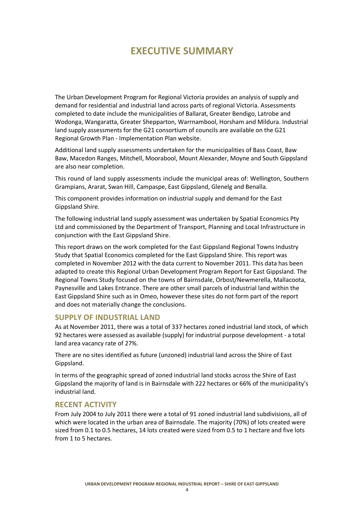# **EXECUTIVE SUMMARY**

The Urban Development Program for Regional Victoria provides an analysis of supply and demand for residential and industrial land across parts of regional Victoria. Assessments completed to date include the municipalities of Ballarat, Greater Bendigo, Latrobe and Wodonga, Wangaratta, Greater Shepparton, Warrnambool, Horsham and Mildura. Industrial land supply assessments for the G21 consortium of councils are available on the G21 Regional Growth Plan - Implementation Plan website.

Additional land supply assessments undertaken for the municipalities of Bass Coast, Baw Baw, Macedon Ranges, Mitchell, Moorabool, Mount Alexander, Moyne and South Gippsland are also near completion.

This round of land supply assessments include the municipal areas of: Wellington, Southern Grampians, Ararat, Swan Hill, Campaspe, East Gippsland, Glenelg and Benalla.

This component provides information on industrial supply and demand for the East Gippsland Shire.

The following industrial land supply assessment was undertaken by Spatial Economics Pty Ltd and commissioned by the Department of Transport, Planning and Local Infrastructure in conjunction with the East Gippsland Shire.

This report draws on the work completed for the East Gippsland Regional Towns Industry Study that Spatial Economics completed for the East Gippsland Shire. This report was completed in November 2012 with the data current to November 2011. This data has been adapted to create this Regional Urban Development Program Report for East Gippsland. The Regional Towns Study focused on the towns of Bairnsdale, Orbost/Newmerella, Mallacoota, Paynesville and Lakes Entrance. There are other small parcels of industrial land within the East Gippsland Shire such as in Omeo, however these sites do not form part of the report and does not materially change the conclusions.

# **SUPPLY OF INDUSTRIAL LAND**

As at November 2011, there was a total of 337 hectares zoned industrial land stock, of which 92 hectares were assessed as available (supply) for industrial purpose development - a total land area vacancy rate of 27%.

There are no sites identified as future (unzoned) industrial land across the Shire of East Gippsland.

In terms of the geographic spread of zoned industrial land stocks across the Shire of East Gippsland the majority of land is in Bairnsdale with 222 hectares or 66% of the municipality's industrial land.

# **RECENT ACTIVITY**

From July 2004 to July 2011 there were a total of 91 zoned industrial land subdivisions, all of which were located in the urban area of Bairnsdale. The majority (70%) of lots created were sized from 0.1 to 0.5 hectares, 14 lots created were sized from 0.5 to 1 hectare and five lots from 1 to 5 hectares.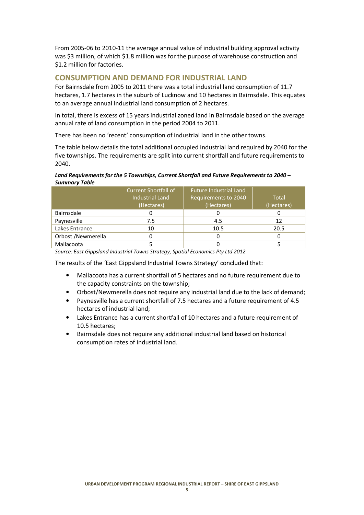From 2005-06 to 2010-11 the average annual value of industrial building approval activity was \$3 million, of which \$1.8 million was for the purpose of warehouse construction and \$1.2 million for factories.

# **CONSUMPTION AND DEMAND FOR INDUSTRIAL LAND**

For Bairnsdale from 2005 to 2011 there was a total industrial land consumption of 11.7 hectares, 1.7 hectares in the suburb of Lucknow and 10 hectares in Bairnsdale. This equates to an average annual industrial land consumption of 2 hectares.

In total, there is excess of 15 years industrial zoned land in Bairnsdale based on the average annual rate of land consumption in the period 2004 to 2011.

There has been no 'recent' consumption of industrial land in the other towns.

The table below details the total additional occupied industrial land required by 2040 for the five townships. The requirements are split into current shortfall and future requirements to 2040.

#### *Land Requirements for the 5 Townships, Current Shortfall and Future Requirements to 2040 – Summary Table*

|                    | <b>Current Shortfall of</b> | <b>Future Industrial Land</b> |            |
|--------------------|-----------------------------|-------------------------------|------------|
|                    | <b>Industrial Land</b>      | Requirements to 2040          | Total      |
|                    | (Hectares)                  | (Hectares)                    | (Hectares) |
| Bairnsdale         |                             |                               |            |
| Paynesville        | 7.5                         | 4.5                           | 12         |
| Lakes Entrance     | 10                          | 10.5                          | 20.5       |
| Orbost /Newmerella |                             |                               |            |
| Mallacoota         |                             |                               |            |

*Source: East Gippsland Industrial Towns Strategy, Spatial Economics Pty Ltd 2012* 

The results of the 'East Gippsland Industrial Towns Strategy' concluded that:

- Mallacoota has a current shortfall of 5 hectares and no future requirement due to the capacity constraints on the township;
- Orbost/Newmerella does not require any industrial land due to the lack of demand;
- Paynesville has a current shortfall of 7.5 hectares and a future requirement of 4.5 hectares of industrial land;
- Lakes Entrance has a current shortfall of 10 hectares and a future requirement of 10.5 hectares;
- Bairnsdale does not require any additional industrial land based on historical consumption rates of industrial land.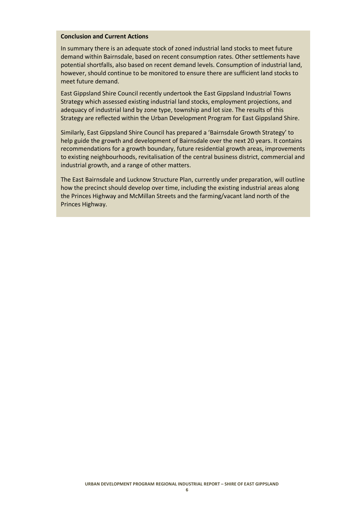## **Conclusion and Current Actions**

In summary there is an adequate stock of zoned industrial land stocks to meet future demand within Bairnsdale, based on recent consumption rates. Other settlements have potential shortfalls, also based on recent demand levels. Consumption of industrial land, however, should continue to be monitored to ensure there are sufficient land stocks to meet future demand.

East Gippsland Shire Council recently undertook the East Gippsland Industrial Towns Strategy which assessed existing industrial land stocks, employment projections, and adequacy of industrial land by zone type, township and lot size. The results of this Strategy are reflected within the Urban Development Program for East Gippsland Shire.

Similarly, East Gippsland Shire Council has prepared a 'Bairnsdale Growth Strategy' to help guide the growth and development of Bairnsdale over the next 20 years. It contains recommendations for a growth boundary, future residential growth areas, improvements to existing neighbourhoods, revitalisation of the central business district, commercial and industrial growth, and a range of other matters.

The East Bairnsdale and Lucknow Structure Plan, currently under preparation, will outline how the precinct should develop over time, including the existing industrial areas along the Princes Highway and McMillan Streets and the farming/vacant land north of the Princes Highway.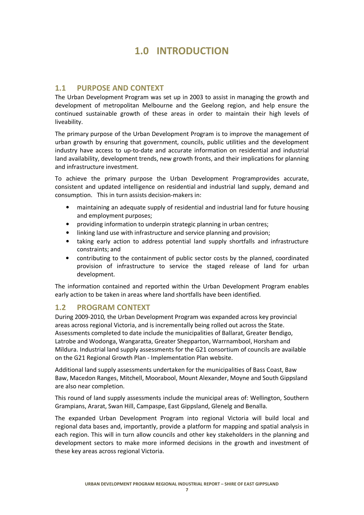# **1.0 INTRODUCTION**

# **1.1 PURPOSE AND CONTEXT**

The Urban Development Program was set up in 2003 to assist in managing the growth and development of metropolitan Melbourne and the Geelong region, and help ensure the continued sustainable growth of these areas in order to maintain their high levels of liveability.

The primary purpose of the Urban Development Program is to improve the management of urban growth by ensuring that government, councils, public utilities and the development industry have access to up-to-date and accurate information on residential and industrial land availability, development trends, new growth fronts, and their implications for planning and infrastructure investment.

To achieve the primary purpose the Urban Development Programprovides accurate, consistent and updated intelligence on residential and industrial land supply, demand and consumption. This in turn assists decision-makers in:

- maintaining an adequate supply of residential and industrial land for future housing and employment purposes;
- providing information to underpin strategic planning in urban centres;
- linking land use with infrastructure and service planning and provision;
- taking early action to address potential land supply shortfalls and infrastructure constraints; and
- contributing to the containment of public sector costs by the planned, coordinated provision of infrastructure to service the staged release of land for urban development.

The information contained and reported within the Urban Development Program enables early action to be taken in areas where land shortfalls have been identified.

# **1.2 PROGRAM CONTEXT**

During 2009-2010*,* the Urban Development Program was expanded across key provincial areas across regional Victoria, and is incrementally being rolled out across the State. Assessments completed to date include the municipalities of Ballarat, Greater Bendigo, Latrobe and Wodonga, Wangaratta, Greater Shepparton, Warrnambool, Horsham and Mildura. Industrial land supply assessments for the G21 consortium of councils are available on the G21 Regional Growth Plan - Implementation Plan website.

Additional land supply assessments undertaken for the municipalities of Bass Coast, Baw Baw, Macedon Ranges, Mitchell, Moorabool, Mount Alexander, Moyne and South Gippsland are also near completion.

This round of land supply assessments include the municipal areas of: Wellington, Southern Grampians, Ararat, Swan Hill, Campaspe, East Gippsland, Glenelg and Benalla.

The expanded Urban Development Program into regional Victoria will build local and regional data bases and, importantly, provide a platform for mapping and spatial analysis in each region. This will in turn allow councils and other key stakeholders in the planning and development sectors to make more informed decisions in the growth and investment of these key areas across regional Victoria.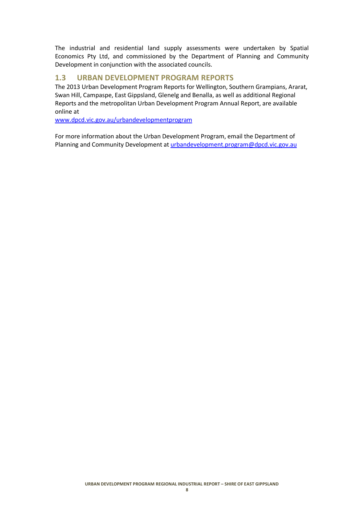The industrial and residential land supply assessments were undertaken by Spatial Economics Pty Ltd, and commissioned by the Department of Planning and Community Development in conjunction with the associated councils.

# **1.3 URBAN DEVELOPMENT PROGRAM REPORTS**

The 2013 Urban Development Program Reports for Wellington, Southern Grampians, Ararat, Swan Hill, Campaspe, East Gippsland, Glenelg and Benalla, as well as additional Regional Reports and the metropolitan Urban Development Program Annual Report, are available online at

www.dpcd.vic.gov.au/urbandevelopmentprogram

For more information about the Urban Development Program, email the Department of Planning and Community Development at urbandevelopment.program@dpcd.vic.gov.au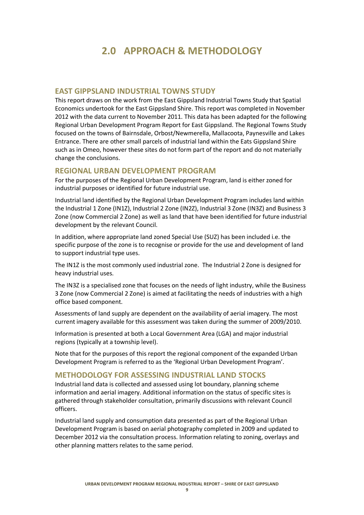# **2.0 APPROACH & METHODOLOGY**

# **EAST GIPPSLAND INDUSTRIAL TOWNS STUDY**

This report draws on the work from the East Gippsland Industrial Towns Study that Spatial Economics undertook for the East Gippsland Shire. This report was completed in November 2012 with the data current to November 2011. This data has been adapted for the following Regional Urban Development Program Report for East Gippsland. The Regional Towns Study focused on the towns of Bairnsdale, Orbost/Newmerella, Mallacoota, Paynesville and Lakes Entrance. There are other small parcels of industrial land within the Eats Gippsland Shire such as in Omeo, however these sites do not form part of the report and do not materially change the conclusions.

# **REGIONAL URBAN DEVELOPMENT PROGRAM**

For the purposes of the Regional Urban Development Program, land is either zoned for industrial purposes or identified for future industrial use.

Industrial land identified by the Regional Urban Development Program includes land within the Industrial 1 Zone (IN1Z), Industrial 2 Zone (IN2Z), Industrial 3 Zone (IN3Z) and Business 3 Zone (now Commercial 2 Zone) as well as land that have been identified for future industrial development by the relevant Council.

In addition, where appropriate land zoned Special Use (SUZ) has been included i.e. the specific purpose of the zone is to recognise or provide for the use and development of land to support industrial type uses.

The IN1Z is the most commonly used industrial zone. The Industrial 2 Zone is designed for heavy industrial uses.

The IN3Z is a specialised zone that focuses on the needs of light industry, while the Business 3 Zone (now Commercial 2 Zone) is aimed at facilitating the needs of industries with a high office based component.

Assessments of land supply are dependent on the availability of aerial imagery. The most current imagery available for this assessment was taken during the summer of 2009/2010.

Information is presented at both a Local Government Area (LGA) and major industrial regions (typically at a township level).

Note that for the purposes of this report the regional component of the expanded Urban Development Program is referred to as the 'Regional Urban Development Program'.

# **METHODOLOGY FOR ASSESSING INDUSTRIAL LAND STOCKS**

Industrial land data is collected and assessed using lot boundary, planning scheme information and aerial imagery. Additional information on the status of specific sites is gathered through stakeholder consultation, primarily discussions with relevant Council officers.

Industrial land supply and consumption data presented as part of the Regional Urban Development Program is based on aerial photography completed in 2009 and updated to December 2012 via the consultation process. Information relating to zoning, overlays and other planning matters relates to the same period.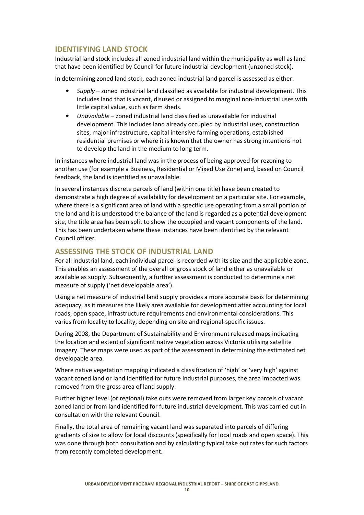# **IDENTIFYING LAND STOCK**

Industrial land stock includes all zoned industrial land within the municipality as well as land that have been identified by Council for future industrial development (unzoned stock).

In determining zoned land stock, each zoned industrial land parcel is assessed as either:

- *Supply* zoned industrial land classified as available for industrial development. This includes land that is vacant, disused or assigned to marginal non-industrial uses with little capital value, such as farm sheds.
- *Unavailable* zoned industrial land classified as unavailable for industrial development. This includes land already occupied by industrial uses, construction sites, major infrastructure, capital intensive farming operations, established residential premises or where it is known that the owner has strong intentions not to develop the land in the medium to long term.

In instances where industrial land was in the process of being approved for rezoning to another use (for example a Business, Residential or Mixed Use Zone) and, based on Council feedback, the land is identified as unavailable.

In several instances discrete parcels of land (within one title) have been created to demonstrate a high degree of availability for development on a particular site. For example, where there is a significant area of land with a specific use operating from a small portion of the land and it is understood the balance of the land is regarded as a potential development site, the title area has been split to show the occupied and vacant components of the land. This has been undertaken where these instances have been identified by the relevant Council officer.

# **ASSESSING THE STOCK OF INDUSTRIAL LAND**

For all industrial land, each individual parcel is recorded with its size and the applicable zone. This enables an assessment of the overall or gross stock of land either as unavailable or available as supply. Subsequently, a further assessment is conducted to determine a net measure of supply ('net developable area').

Using a net measure of industrial land supply provides a more accurate basis for determining adequacy, as it measures the likely area available for development after accounting for local roads, open space, infrastructure requirements and environmental considerations. This varies from locality to locality, depending on site and regional-specific issues.

During 2008, the Department of Sustainability and Environment released maps indicating the location and extent of significant native vegetation across Victoria utilising satellite imagery. These maps were used as part of the assessment in determining the estimated net developable area.

Where native vegetation mapping indicated a classification of 'high' or 'very high' against vacant zoned land or land identified for future industrial purposes, the area impacted was removed from the gross area of land supply.

Further higher level (or regional) take outs were removed from larger key parcels of vacant zoned land or from land identified for future industrial development. This was carried out in consultation with the relevant Council.

Finally, the total area of remaining vacant land was separated into parcels of differing gradients of size to allow for local discounts (specifically for local roads and open space). This was done through both consultation and by calculating typical take out rates for such factors from recently completed development.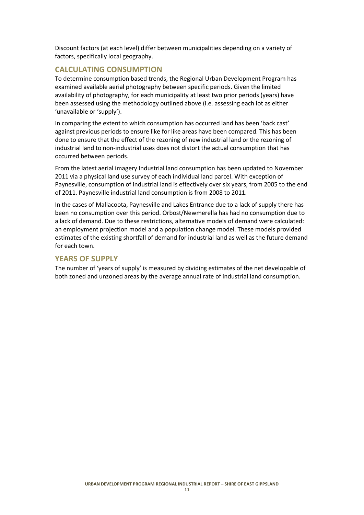Discount factors (at each level) differ between municipalities depending on a variety of factors, specifically local geography.

# **CALCULATING CONSUMPTION**

To determine consumption based trends, the Regional Urban Development Program has examined available aerial photography between specific periods. Given the limited availability of photography, for each municipality at least two prior periods (years) have been assessed using the methodology outlined above (i.e. assessing each lot as either 'unavailable or 'supply').

In comparing the extent to which consumption has occurred land has been 'back cast' against previous periods to ensure like for like areas have been compared. This has been done to ensure that the effect of the rezoning of new industrial land or the rezoning of industrial land to non-industrial uses does not distort the actual consumption that has occurred between periods.

From the latest aerial imagery Industrial land consumption has been updated to November 2011 via a physical land use survey of each individual land parcel. With exception of Paynesville, consumption of industrial land is effectively over six years, from 2005 to the end of 2011. Paynesville industrial land consumption is from 2008 to 2011.

In the cases of Mallacoota, Paynesville and Lakes Entrance due to a lack of supply there has been no consumption over this period. Orbost/Newmerella has had no consumption due to a lack of demand. Due to these restrictions, alternative models of demand were calculated: an employment projection model and a population change model. These models provided estimates of the existing shortfall of demand for industrial land as well as the future demand for each town.

# **YEARS OF SUPPLY**

The number of 'years of supply' is measured by dividing estimates of the net developable of both zoned and unzoned areas by the average annual rate of industrial land consumption.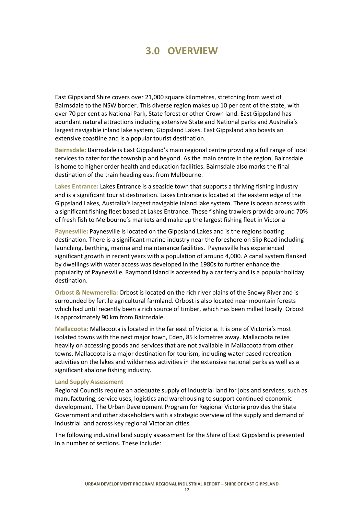# **3.0 OVERVIEW**

East Gippsland Shire covers over 21,000 square kilometres, stretching from west of Bairnsdale to the NSW border. This diverse region makes up 10 per cent of the state, with over 70 per cent as National Park, State forest or other Crown land. East Gippsland has abundant natural attractions including extensive State and National parks and Australia's largest navigable inland lake system; Gippsland Lakes. East Gippsland also boasts an extensive coastline and is a popular tourist destination.

**Bairnsdale:** Bairnsdale is East Gippsland's main regional centre providing a full range of local services to cater for the township and beyond. As the main centre in the region, Bairnsdale is home to higher order health and education facilities. Bairnsdale also marks the final destination of the train heading east from Melbourne.

**Lakes Entrance:** Lakes Entrance is a seaside town that supports a thriving fishing industry and is a significant tourist destination. Lakes Entrance is located at the eastern edge of the Gippsland Lakes, Australia's largest navigable inland lake system. There is ocean access with a significant fishing fleet based at Lakes Entrance. These fishing trawlers provide around 70% of fresh fish to Melbourne's markets and make up the largest fishing fleet in Victoria

**Paynesville:** Paynesville is located on the Gippsland Lakes and is the regions boating destination. There is a significant marine industry near the foreshore on Slip Road including launching, berthing, marina and maintenance facilities. Paynesville has experienced significant growth in recent years with a population of around 4,000. A canal system flanked by dwellings with water access was developed in the 1980s to further enhance the popularity of Paynesville. Raymond Island is accessed by a car ferry and is a popular holiday destination.

**Orbost & Newmerella:** Orbost is located on the rich river plains of the Snowy River and is surrounded by fertile agricultural farmland. Orbost is also located near mountain forests which had until recently been a rich source of timber, which has been milled locally. Orbost is approximately 90 km from Bairnsdale.

**Mallacoota:** Mallacoota is located in the far east of Victoria. It is one of Victoria's most isolated towns with the next major town, Eden, 85 kilometres away. Mallacoota relies heavily on accessing goods and services that are not available in Mallacoota from other towns. Mallacoota is a major destination for tourism, including water based recreation activities on the lakes and wilderness activities in the extensive national parks as well as a significant abalone fishing industry.

#### **Land Supply Assessment**

Regional Councils require an adequate supply of industrial land for jobs and services, such as manufacturing, service uses, logistics and warehousing to support continued economic development. The Urban Development Program for Regional Victoria provides the State Government and other stakeholders with a strategic overview of the supply and demand of industrial land across key regional Victorian cities.

The following industrial land supply assessment for the Shire of East Gippsland is presented in a number of sections. These include: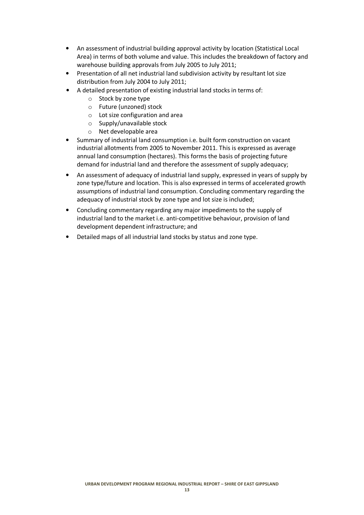- An assessment of industrial building approval activity by location (Statistical Local Area) in terms of both volume and value. This includes the breakdown of factory and warehouse building approvals from July 2005 to July 2011;
- Presentation of all net industrial land subdivision activity by resultant lot size distribution from July 2004 to July 2011;
- A detailed presentation of existing industrial land stocks in terms of:
	- o Stock by zone type
	- o Future (unzoned) stock
	- o Lot size configuration and area
	- o Supply/unavailable stock
	- o Net developable area
- Summary of industrial land consumption i.e. built form construction on vacant industrial allotments from 2005 to November 2011. This is expressed as average annual land consumption (hectares). This forms the basis of projecting future demand for industrial land and therefore the assessment of supply adequacy;
- An assessment of adequacy of industrial land supply, expressed in years of supply by zone type/future and location. This is also expressed in terms of accelerated growth assumptions of industrial land consumption. Concluding commentary regarding the adequacy of industrial stock by zone type and lot size is included;
- Concluding commentary regarding any major impediments to the supply of industrial land to the market i.e. anti-competitive behaviour, provision of land development dependent infrastructure; and
- Detailed maps of all industrial land stocks by status and zone type.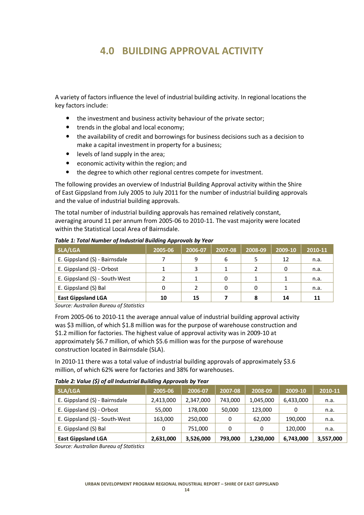# **4.0 BUILDING APPROVAL ACTIVITY**

A variety of factors influence the level of industrial building activity. In regional locations the key factors include:

- the investment and business activity behaviour of the private sector;
- trends in the global and local economy;
- the availability of credit and borrowings for business decisions such as a decision to make a capital investment in property for a business;
- levels of land supply in the area;
- economic activity within the region; and
- the degree to which other regional centres compete for investment.

The following provides an overview of Industrial Building Approval activity within the Shire of East Gippsland from July 2005 to July 2011 for the number of industrial building approvals and the value of industrial building approvals.

The total number of industrial building approvals has remained relatively constant, averaging around 11 per annum from 2005-06 to 2010-11. The vast majority were located within the Statistical Local Area of Bairnsdale.

| SLA/LGA                       | 2005-06 | 2006-07 | 2007-08 | 2008-09 | 2009-10 | 2010-11 |
|-------------------------------|---------|---------|---------|---------|---------|---------|
| E. Gippsland (S) - Bairnsdale |         | 9       | 6       |         | 12      | n.a.    |
| E. Gippsland (S) - Orbost     |         |         |         |         |         | n.a.    |
| E. Gippsland (S) - South-West |         |         |         |         |         | n.a.    |
| E. Gippsland (S) Bal          |         |         | 0       | 0       |         | n.a.    |
| <b>East Gippsland LGA</b>     | 10      | 15      |         | 8       | 14      | 11      |

*Table 1: Total Number of Industrial Building Approvals by Year*

*Source: Australian Bureau of Statistics*

From 2005-06 to 2010-11 the average annual value of industrial building approval activity was \$3 million, of which \$1.8 million was for the purpose of warehouse construction and \$1.2 million for factories. The highest value of approval activity was in 2009-10 at approximately \$6.7 million, of which \$5.6 million was for the purpose of warehouse construction located in Bairnsdale (SLA).

In 2010-11 there was a total value of industrial building approvals of approximately \$3.6 million, of which 62% were for factories and 38% for warehouses.

|  | Table 2: Value (\$) of all Industrial Building Approvals by Year |  |
|--|------------------------------------------------------------------|--|
|--|------------------------------------------------------------------|--|

| <b>SLA/LGA</b>                | 2005-06   | 2006-07   | 2007-08  | 2008-09   | 2009-10   | 2010-11   |
|-------------------------------|-----------|-----------|----------|-----------|-----------|-----------|
| E. Gippsland (S) - Bairnsdale | 2,413,000 | 2,347,000 | 743,000  | 1,045,000 | 6,433,000 | n.a.      |
| E. Gippsland (S) - Orbost     | 55,000    | 178,000   | 50,000   | 123,000   | 0         | n.a.      |
| E. Gippsland (S) - South-West | 163,000   | 250,000   | $\Omega$ | 62,000    | 190,000   | n.a.      |
| E. Gippsland (S) Bal          | 0         | 751,000   | 0        | 0         | 120,000   | n.a.      |
| <b>East Gippsland LGA</b>     | 2,631,000 | 3,526,000 | 793,000  | 1,230,000 | 6,743,000 | 3,557,000 |

*Source: Australian Bureau of Statistics*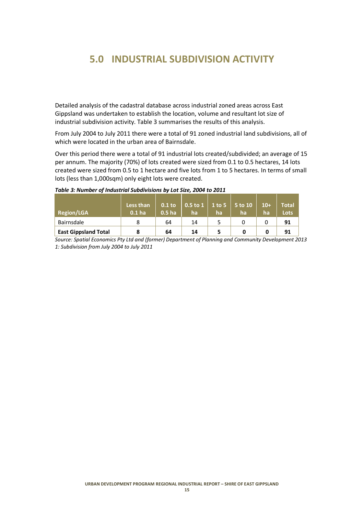# **5.0 INDUSTRIAL SUBDIVISION ACTIVITY**

Detailed analysis of the cadastral database across industrial zoned areas across East Gippsland was undertaken to establish the location, volume and resultant lot size of industrial subdivision activity. Table 3 summarises the results of this analysis.

From July 2004 to July 2011 there were a total of 91 zoned industrial land subdivisions, all of which were located in the urban area of Bairnsdale.

Over this period there were a total of 91 industrial lots created/subdivided; an average of 15 per annum. The majority (70%) of lots created were sized from 0.1 to 0.5 hectares, 14 lots created were sized from 0.5 to 1 hectare and five lots from 1 to 5 hectares. In terms of small lots (less than 1,000sqm) only eight lots were created.

| <b>Region/LGA</b>           | Less than<br>0.1 <sub>ha</sub> | $0.1$ to<br>0.5 <sub>ha</sub> | $0.5$ to 1<br>ha | $1$ to 5<br>ha | 5 to 10<br>ha | $10+$<br>ha | Total<br><b>Lots</b> |
|-----------------------------|--------------------------------|-------------------------------|------------------|----------------|---------------|-------------|----------------------|
| Bairnsdale                  |                                | 64                            | 14               |                |               |             | 91                   |
| <b>East Gippsland Total</b> | 8                              | 64                            | 14               | 5              | 0             | 0           | 91                   |

#### *Table 3: Number of Industrial Subdivisions by Lot Size, 2004 to 2011*

*Source: Spatial Economics Pty Ltd and (former) Department of Planning and Community Development 2013 1: Subdivision from July 2004 to July 2011*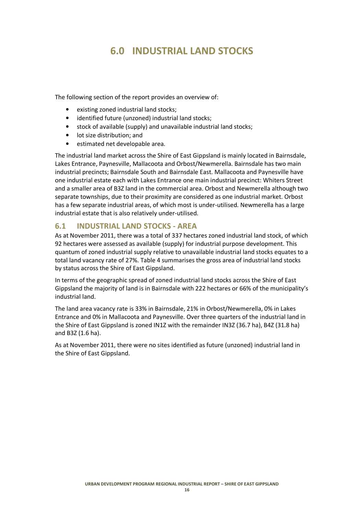# **6.0 INDUSTRIAL LAND STOCKS**

The following section of the report provides an overview of:

- existing zoned industrial land stocks;
- identified future (unzoned) industrial land stocks;
- stock of available (supply) and unavailable industrial land stocks;
- lot size distribution; and
- estimated net developable area.

The industrial land market across the Shire of East Gippsland is mainly located in Bairnsdale, Lakes Entrance, Paynesville, Mallacoota and Orbost/Newmerella. Bairnsdale has two main industrial precincts; Bairnsdale South and Bairnsdale East. Mallacoota and Paynesville have one industrial estate each with Lakes Entrance one main industrial precinct: Whiters Street and a smaller area of B3Z land in the commercial area. Orbost and Newmerella although two separate townships, due to their proximity are considered as one industrial market. Orbost has a few separate industrial areas, of which most is under-utilised. Newmerella has a large industrial estate that is also relatively under-utilised.

# **6.1 INDUSTRIAL LAND STOCKS - AREA**

As at November 2011, there was a total of 337 hectares zoned industrial land stock, of which 92 hectares were assessed as available (supply) for industrial purpose development. This quantum of zoned industrial supply relative to unavailable industrial land stocks equates to a total land vacancy rate of 27%. Table 4 summarises the gross area of industrial land stocks by status across the Shire of East Gippsland.

In terms of the geographic spread of zoned industrial land stocks across the Shire of East Gippsland the majority of land is in Bairnsdale with 222 hectares or 66% of the municipality's industrial land.

The land area vacancy rate is 33% in Bairnsdale, 21% in Orbost/Newmerella, 0% in Lakes Entrance and 0% in Mallacoota and Paynesville. Over three quarters of the industrial land in the Shire of East Gippsland is zoned IN1Z with the remainder IN3Z (36.7 ha), B4Z (31.8 ha) and B3Z (1.6 ha).

As at November 2011, there were no sites identified as future (unzoned) industrial land in the Shire of East Gippsland.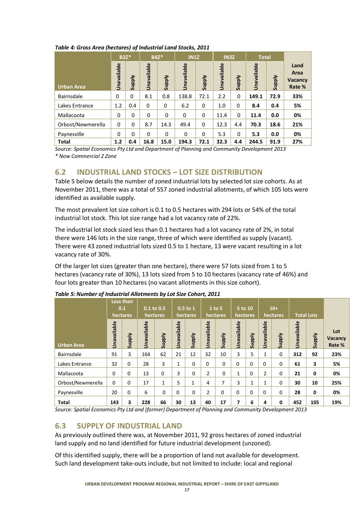|                          | <b>B3Z*</b><br>Unavailable | <b>Viddns</b> | Unavailable | <b>B4Z*</b><br><b>Viddns</b> | <b>IN1Z</b><br>Unavailable | <b>Viddns</b> | <b>IN3Z</b><br>Unavailable | <b>Viddns</b> | <b>Total</b><br>Unavailable | <b>Viddns</b> | Land<br>Area<br><b>Vacancy</b> |
|--------------------------|----------------------------|---------------|-------------|------------------------------|----------------------------|---------------|----------------------------|---------------|-----------------------------|---------------|--------------------------------|
| Urban Area<br>Bairnsdale | 0                          | 0             | 8.1         | 0.8                          | 138.8                      | 72.1          | 2.2                        | 0             | 149.1                       | 72.9          | Rate %<br>33%                  |
| Lakes Entrance           | 1.2                        | 0.4           | $\Omega$    | 0                            | 6.2                        | $\mathbf 0$   | 1.0                        | 0             | 8.4                         | 0.4           | 5%                             |
| Mallacoota               | $\mathbf 0$                | $\Omega$      | $\Omega$    | $\Omega$                     | $\Omega$                   | $\Omega$      | 11.4                       | $\Omega$      | 11.4                        | 0.0           | 0%                             |
| Orbost/Newmerella        | $\mathbf 0$                | $\Omega$      | 8.7         | 14.3                         | 49.4                       | $\Omega$      | 12.3                       | 4.4           | 70.3                        | 18.6          | 21%                            |
| Paynesville              | $\Omega$                   | $\Omega$      | $\Omega$    | $\Omega$                     | $\Omega$                   | $\Omega$      | 5.3                        | $\Omega$      | 5.3                         | 0.0           | 0%                             |
| <b>Total</b>             | 1.2                        | 0.4           | 16.8        | 15.0                         | 194.3                      | 72.1          | 32.3                       | 4.4           | 244.5                       | 91.9          | 27%                            |

# *Table 4: Gross Area (hectares) of Industrial Land Stocks, 2011*

*Source: Spatial Economics Pty Ltd and Department of Planning and Community Development 2013 \* Now Commercial 2 Zone* 

# **6.2 INDUSTRIAL LAND STOCKS – LOT SIZE DISTRIBUTION**

Table 5 below details the number of zoned industrial lots by selected lot size cohorts. As at November 2011, there was a total of 557 zoned industrial allotments, of which 105 lots were identified as available supply.

The most prevalent lot size cohort is 0.1 to 0.5 hectares with 294 lots or 54% of the total industrial lot stock. This lot size range had a lot vacancy rate of 22%.

The industrial lot stock sized less than 0.1 hectares had a lot vacancy rate of 2%, in total there were 146 lots in the size range, three of which were identified as supply (vacant). There were 43 zoned industrial lots sized 0.5 to 1 hectare, 13 were vacant resulting in a lot vacancy rate of 30%.

Of the larger lot sizes (greater than one hectare), there were 57 lots sized from 1 to 5 hectares (vacancy rate of 30%), 13 lots sized from 5 to 10 hectares (vacancy rate of 46%) and four lots greater than 10 hectares (no vacant allotments in this size cohort).

|                   |                      | Less than<br>0.1<br>hectares |                     | 0.1 to 0.5<br>hectares |                     | $0.5$ to $1$<br>hectares |                | 1 to 5<br>hectares | 5 <sub>to</sub> 10<br>hectares |               |              | $10+$<br>hectares |             | <b>Total Lots</b> |                                 |
|-------------------|----------------------|------------------------------|---------------------|------------------------|---------------------|--------------------------|----------------|--------------------|--------------------------------|---------------|--------------|-------------------|-------------|-------------------|---------------------------------|
| <b>Urban Area</b> | vailable<br>j<br>Sna | <b>Alddn</b><br>$\bar{a}$    | vailable<br>ma<br>⋾ | <b>Alddns</b>          | vailable<br>ma<br>ミ | <b>Viddns</b>            | Unavailable    | <b>Viddns</b>      | Unavailable                    | <b>Viddns</b> | Unavailable  | <b>Viddns</b>     | Unavailable | <b>Viddns</b>     | Lot<br><b>Vacancy</b><br>Rate % |
| Bairnsdale        | 91                   | 3                            | 164                 | 62                     | 21                  | 12                       | 32             | 10                 | 3                              | 5             | $\mathbf{1}$ | 0                 | 312         | 92                | 23%                             |
| Lakes Entrance    | 32                   | $\Omega$                     | 28                  | 3                      | 1                   | $\Omega$                 | $\Omega$       | $\Omega$           | 0                              | $\Omega$      | 0            | $\Omega$          | 61          | 3                 | 5%                              |
| Mallacoota        | $\Omega$             | $\Omega$                     | 13                  | $\Omega$               | 3                   | 0                        | $\overline{2}$ | $\Omega$           | 1                              | $\Omega$      | 2            | $\Omega$          | 21          | $\mathbf{0}$      | 0%                              |
| Orbost/Newmerella | $\Omega$             | $\Omega$                     | 17                  | 1                      | 5                   | $\mathbf{1}$             | 4              | 7                  | 3                              | 1             | $\mathbf{1}$ | 0                 | 30          | 10                | 25%                             |
| Paynesville       | 20                   | $\mathbf 0$                  | 6                   | 0                      | $\Omega$            | $\Omega$                 | $\overline{2}$ | 0                  | $\mathbf 0$                    | $\Omega$      | 0            | $\Omega$          | 28          | $\mathbf 0$       | 0%                              |
| <b>Total</b>      | 143                  | 3                            | 228                 | 66                     | 30                  | 13                       | 40             | 17                 | 7                              | 6             | 4            | 0                 | 452         | 105               | 19%                             |

# *Table 5: Number of Industrial Allotments by Lot Size Cohort, 2011*

*Source: Spatial Economics Pty Ltd and (former) Department of Planning and Community Development 2013*

# **6.3 SUPPLY OF INDUSTRIAL LAND**

As previously outlined there was, at November 2011, 92 gross hectares of zoned industrial land supply and no land identified for future industrial development (unzoned).

Of this identified supply, there will be a proportion of land not available for development. Such land development take-outs include, but not limited to include: local and regional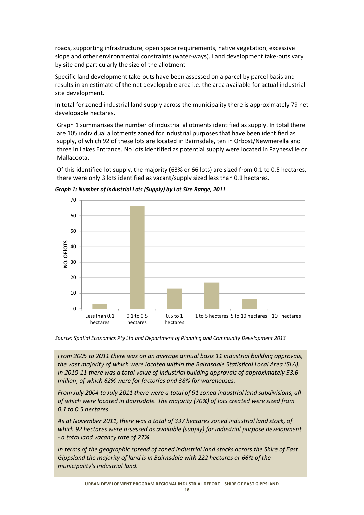roads, supporting infrastructure, open space requirements, native vegetation, excessive slope and other environmental constraints (water-ways). Land development take-outs vary by site and particularly the size of the allotment

Specific land development take-outs have been assessed on a parcel by parcel basis and results in an estimate of the net developable area i.e. the area available for actual industrial site development.

In total for zoned industrial land supply across the municipality there is approximately 79 net developable hectares.

Graph 1 summarises the number of industrial allotments identified as supply. In total there are 105 individual allotments zoned for industrial purposes that have been identified as supply, of which 92 of these lots are located in Bairnsdale, ten in Orbost/Newmerella and three in Lakes Entrance. No lots identified as potential supply were located in Paynesville or Mallacoota.

Of this identified lot supply, the majority (63% or 66 lots) are sized from 0.1 to 0.5 hectares, there were only 3 lots identified as vacant/supply sized less than 0.1 hectares.



*Graph 1: Number of Industrial Lots (Supply) by Lot Size Range, 2011*

0.1 to 0.5 hectares

 $\Omega$ 

Less than 0.1 hectares

*Source: Spatial Economics Pty Ltd and Department of Planning and Community Development 2013* 

0.5 to 1 hectares 1 to 5 hectares 5 to 10 hectares 10+ hectares

*From 2005 to 2011 there was on an average annual basis 11 industrial building approvals, the vast majority of which were located within the Bairnsdale Statistical Local Area (SLA). In 2010-11 there was a total value of industrial building approvals of approximately \$3.6 million, of which 62% were for factories and 38% for warehouses.* 

*From July 2004 to July 2011 there were a total of 91 zoned industrial land subdivisions, all of which were located in Bairnsdale. The majority (70%) of lots created were sized from 0.1 to 0.5 hectares.* 

*As at November 2011, there was a total of 337 hectares zoned industrial land stock, of which 92 hectares were assessed as available (supply) for industrial purpose development - a total land vacancy rate of 27%.* 

*In terms of the geographic spread of zoned industrial land stocks across the Shire of East Gippsland the majority of land is in Bairnsdale with 222 hectares or 66% of the municipality's industrial land.*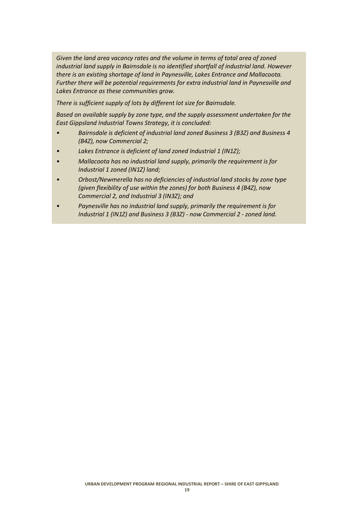*Given the land area vacancy rates and the volume in terms of total area of zoned industrial land supply in Bairnsdale is no identified shortfall of industrial land. However there is an existing shortage of land in Paynesville, Lakes Entrance and Mallacoota. Further there will be potential requirements for extra industrial land in Paynesville and Lakes Entrance as these communities grow.* 

*There is sufficient supply of lots by different lot size for Bairnsdale.* 

*Based on available supply by zone type, and the supply assessment undertaken for the East Gippsland Industrial Towns Strategy, it is concluded:* 

- *Bairnsdale is deficient of industrial land zoned Business 3 (B3Z) and Business 4 (B4Z), now Commercial 2;*
- *Lakes Entrance is deficient of land zoned Industrial 1 (IN1Z);*
- *Mallacoota has no industrial land supply, primarily the requirement is for Industrial 1 zoned (IN1Z) land;*
- *Orbost/Newmerella has no deficiencies of industrial land stocks by zone type (given flexibility of use within the zones) for both Business 4 (B4Z), now Commercial 2, and Industrial 3 (IN3Z); and*
- *Paynesville has no industrial land supply, primarily the requirement is for Industrial 1 (IN1Z) and Business 3 (B3Z) - now Commercial 2 - zoned land.*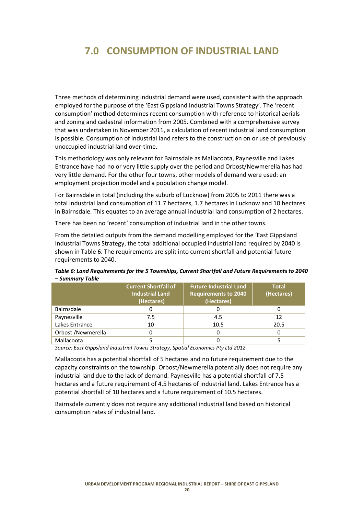# **7.0 CONSUMPTION OF INDUSTRIAL LAND**

Three methods of determining industrial demand were used, consistent with the approach employed for the purpose of the 'East Gippsland Industrial Towns Strategy'. The 'recent consumption' method determines recent consumption with reference to historical aerials and zoning and cadastral information from 2005. Combined with a comprehensive survey that was undertaken in November 2011, a calculation of recent industrial land consumption is possible. Consumption of industrial land refers to the construction on or use of previously unoccupied industrial land over-time.

This methodology was only relevant for Bairnsdale as Mallacoota, Paynesville and Lakes Entrance have had no or very little supply over the period and Orbost/Newmerella has had very little demand. For the other four towns, other models of demand were used: an employment projection model and a population change model.

For Bairnsdale in total (including the suburb of Lucknow) from 2005 to 2011 there was a total industrial land consumption of 11.7 hectares, 1.7 hectares in Lucknow and 10 hectares in Bairnsdale. This equates to an average annual industrial land consumption of 2 hectares.

There has been no 'recent' consumption of industrial land in the other towns.

From the detailed outputs from the demand modelling employed for the 'East Gippsland Industrial Towns Strategy, the total additional occupied industrial land required by 2040 is shown in Table 6. The requirements are split into current shortfall and potential future requirements to 2040.

| Table 6: Land Requirements for the 5 Townships, Current Shortfall and Future Requirements to 2040 |  |  |  |  |  |  |  |  |
|---------------------------------------------------------------------------------------------------|--|--|--|--|--|--|--|--|
| – Summary Table                                                                                   |  |  |  |  |  |  |  |  |
|                                                                                                   |  |  |  |  |  |  |  |  |

|                    | <b>Current Shortfall of</b><br><b>Industrial Land</b><br>(Hectares) | <b>Total</b><br>(Hectares) |      |
|--------------------|---------------------------------------------------------------------|----------------------------|------|
| Bairnsdale         |                                                                     |                            |      |
| Paynesville        | 7.5                                                                 | 4.5                        | 12   |
| Lakes Entrance     | 10                                                                  | 10.5                       | 20.5 |
| Orbost /Newmerella |                                                                     | 0                          |      |
| Mallacoota         |                                                                     |                            |      |

*Source: East Gippsland Industrial Towns Strategy, Spatial Economics Pty Ltd 2012*

Mallacoota has a potential shortfall of 5 hectares and no future requirement due to the capacity constraints on the township. Orbost/Newmerella potentially does not require any industrial land due to the lack of demand. Paynesville has a potential shortfall of 7.5 hectares and a future requirement of 4.5 hectares of industrial land. Lakes Entrance has a potential shortfall of 10 hectares and a future requirement of 10.5 hectares.

Bairnsdale currently does not require any additional industrial land based on historical consumption rates of industrial land.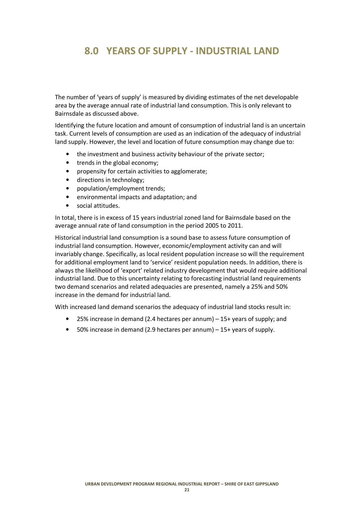# **8.0 YEARS OF SUPPLY - INDUSTRIAL LAND**

The number of 'years of supply' is measured by dividing estimates of the net developable area by the average annual rate of industrial land consumption. This is only relevant to Bairnsdale as discussed above.

Identifying the future location and amount of consumption of industrial land is an uncertain task. Current levels of consumption are used as an indication of the adequacy of industrial land supply. However, the level and location of future consumption may change due to:

- the investment and business activity behaviour of the private sector;
- trends in the global economy;
- propensity for certain activities to agglomerate;
- directions in technology;
- population/employment trends;
- environmental impacts and adaptation; and
- social attitudes.

In total, there is in excess of 15 years industrial zoned land for Bairnsdale based on the average annual rate of land consumption in the period 2005 to 2011.

Historical industrial land consumption is a sound base to assess future consumption of industrial land consumption. However, economic/employment activity can and will invariably change. Specifically, as local resident population increase so will the requirement for additional employment land to 'service' resident population needs. In addition, there is always the likelihood of 'export' related industry development that would require additional industrial land. Due to this uncertainty relating to forecasting industrial land requirements two demand scenarios and related adequacies are presented, namely a 25% and 50% increase in the demand for industrial land.

With increased land demand scenarios the adequacy of industrial land stocks result in:

- 25% increase in demand (2.4 hectares per annum) 15+ years of supply; and
- 50% increase in demand (2.9 hectares per annum) 15+ years of supply.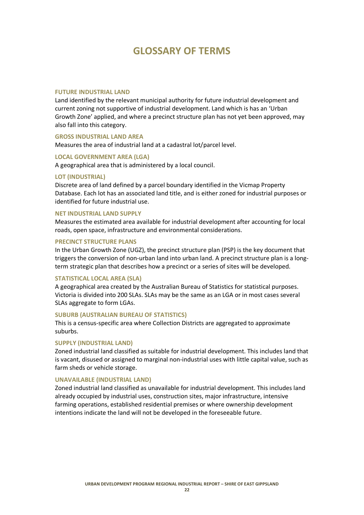# **GLOSSARY OF TERMS**

## **FUTURE INDUSTRIAL LAND**

Land identified by the relevant municipal authority for future industrial development and current zoning not supportive of industrial development. Land which is has an 'Urban Growth Zone' applied, and where a precinct structure plan has not yet been approved, may also fall into this category.

#### **GROSS INDUSTRIAL LAND AREA**

Measures the area of industrial land at a cadastral lot/parcel level.

# **LOCAL GOVERNMENT AREA (LGA)**

A geographical area that is administered by a local council.

## **LOT (INDUSTRIAL)**

Discrete area of land defined by a parcel boundary identified in the Vicmap Property Database. Each lot has an associated land title, and is either zoned for industrial purposes or identified for future industrial use.

#### **NET INDUSTRIAL LAND SUPPLY**

Measures the estimated area available for industrial development after accounting for local roads, open space, infrastructure and environmental considerations.

#### **PRECINCT STRUCTURE PLANS**

In the Urban Growth Zone (UGZ), the precinct structure plan (PSP) is the key document that triggers the conversion of non-urban land into urban land. A precinct structure plan is a longterm strategic plan that describes how a precinct or a series of sites will be developed.

# **STATISTICAL LOCAL AREA (SLA)**

A geographical area created by the Australian Bureau of Statistics for statistical purposes. Victoria is divided into 200 SLAs. SLAs may be the same as an LGA or in most cases several SLAs aggregate to form LGAs.

#### **SUBURB (AUSTRALIAN BUREAU OF STATISTICS)**

This is a census-specific area where Collection Districts are aggregated to approximate suburbs.

#### **SUPPLY (INDUSTRIAL LAND)**

Zoned industrial land classified as suitable for industrial development. This includes land that is vacant, disused or assigned to marginal non-industrial uses with little capital value, such as farm sheds or vehicle storage.

#### **UNAVAILABLE (INDUSTRIAL LAND)**

Zoned industrial land classified as unavailable for industrial development. This includes land already occupied by industrial uses, construction sites, major infrastructure, intensive farming operations, established residential premises or where ownership development intentions indicate the land will not be developed in the foreseeable future.